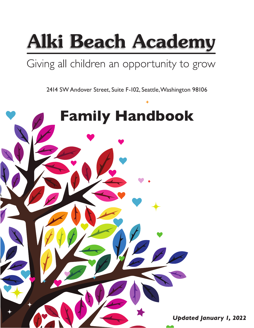

# Giving all children an opportunity to grow

2414 SW Andover Street, Suite F-102, Seattle, Washington 98106

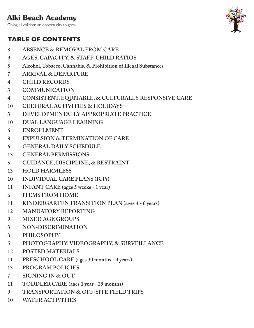Giving all children an opportunity to grow

## **TABLE OF CONTENTS**

- **ABSENCE & REMOVAL FROM CARE**
- **AGES, CAPACITY, & STAFF-CHILD RATIOS**
- **Alcohol, Tobacco, Cannabis, & Prohibition of Illegal Substances**
- **ARRIVAL & DEPARTURE**
- **CHILD RECORDS**
- **COMMUNICATION**
- **CONSISTENT, EQUITABLE, & CULTURALLY RESPONSIVE CARE**
- **CULTURAL ACTIVITIES & HOLIDAYS**
- **DEVELOPMENTALLY APPROPRIATE PRACTICE**
- **DUAL LANGUAGE LEARNING**
- **ENROLLMENT**
- **EXPULSION & TERMINATION OF CARE**
- **GENERAL DAILY SCHEDULE**
- **GENERAL PERMISSIONS**
- **GUIDANCE, DISCIPLINE, & RESTRAINT**
- **HOLD HARMLESS**
- **INDIVIDUAL CARE PLANS (ICPs)**
- **INFANT CARE (ages 5 weeks 1 year)**
- **ITEMS FROM HOME**
- **KINDERGARTEN TRANSITION PLAN (ages 4 6 years)**
- **MANDATORY REPORTING**
- **MIXED AGE GROUPS**
- **NON-DISCRIMINATION**
- **PHILOSOPHY**
- **PHOTOGRAPHY, VIDEOGRAPHY, & SURVEILLANCE**
- **POSTED MATERIALS**
- **PRESCHOOL CARE (ages 30 months 4 years)**
- **PROGRAM POLICIES**
- **SIGNING IN & OUT**
- **TODDLER CARE (ages 1 year 29 months)**
- **TRANSPORTATION & OFF-SITE FIELD TRIPS**
- **WATER ACTIVITIES**

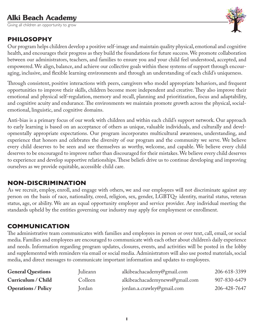Giving all children an opportunity to grow

#### **PHILOSOPHY**

Our program helps children develop a positive self-image and maintain quality physical, emotional and cognitive health, and encourages their progress as they build the foundations for future success. We promote collaboration between our administrators, teachers, and families to ensure you and your child feel understood, accepted, and empowered. We align, balance, and achieve our collective goals within these systems of support through encouraging, inclusive, and flexible learning environments and through an understanding of each child's uniqueness.

Through consistent, positive interactions with peers, caregivers who model appropriate behaviors, and frequent opportunities to improve their skills, children become more independent and creative. They also improve their emotional and physical self-regulation, memory and recall, planning and prioritization, focus and adaptability, and cognitive acuity and endurance. The environments we maintain promote growth across the physical, socialemotional, linguistic, and cognitive domains.

Anti-bias is a primary focus of our work with children and within each child's support network. Our approach to early learning is based on an acceptance of others as unique, valuable individuals, and culturally and developmentally appropriate expectations. Our program incorporates multicultural awareness, understanding, and experience that honors and celebrates the diversity of our program and the community we serve. We believe every child deserves to be seen and see themselves as worthy, welcome, and capable. We believe every child deserves to be encouraged to improve rather than discouraged for their mistakes. We believe every child deserves to experience and develop supportive relationships. These beliefs drive us to continue developing and improving ourselves as we provide equitable, accessible child care.

#### **NON-DISCRIMINATION**

As we recruit, employ, enroll, and engage with others, we and our employees will not discriminate against any person on the basis of race, nationality, creed, religion, sex, gender, LGBTQ+ identity, marital status, veteran status, age, or ability. We are an equal opportunity employer and service provider. Any individual meeting the standards upheld by the entities governing our industry may apply for employment or enrollment.

#### **COMMUNICATION**

The administrative team communicates with families and employees in person or over text, call, email, or social media. Families and employees are encouraged to communicate with each other about children's daily experience and needs. Information regarding program updates, closures, events, and activities will be posted in the lobby and supplemented with reminders via email or social media. Administrators will also use posted materials, social media, and direct messages to communicate important information and updates to employees.

| <b>General Questions</b>   | Julieann | alkibeachacademy@gmail.com     | 206-618-3399 |
|----------------------------|----------|--------------------------------|--------------|
| Curriculum / Child         | Colleen  | alkibeachacademynews@gmail.com | 907-830-6479 |
| <b>Operations / Policy</b> | Jordan   | jordan.a.crawley@gmail.com     | 206-428-7647 |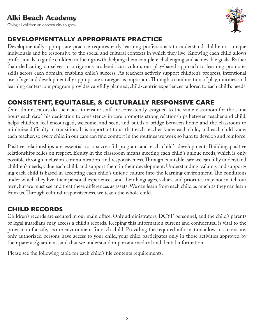Giving all children an opportunity to grow



#### DEVELOPMENTALLY APPROPRIATE PRACTICE

Developmentally appropriate practice requires early learning professionals to understand children as unique individuals and be responsive to the social and cultural contexts in which they live. Knowing each child allows professionals to guide children in their growth, helping them complete challenging and achievable goals. Rather than dedicating ourselves to a rigorous academic curriculum, our play-based approach to learning promotes skills across each domain, enabling child's success. As teachers actively support children's progress, intentional use of age and developmentally appropriate strategies is important. Through a combination of play, routines, and learning centers, our program provides carefully planned, child-centric experiences tailored to each child's needs.

#### **CONSISTENT, EQUITABLE, & CULTURALLY RESPONSIVE CARE**

Our administrators do their best to ensure staff are consistently assigned to the same classroom for the same hours each day. This dedication to consistency in care promotes strong relationships between teacher and child, helps children feel encouraged, welcome, and seen, and builds a bridge between home and the classroom to minimize difficulty in transition. It is important to us that each teacher know each child, and each child know each teacher, so every child in our care can find comfort in the routines we work so hard to develop and reinforce.

Positive relationships are essential to a successful program and each child's development. Building positive relationships relies on respect. Equity in the classroom means meeting each child's unique needs, which is only possible through inclusion, communication, and responsiveness. Through equitable care we can fully understand children's needs, value each child, and support them in their development. Understanding, valuing, and supporting each child is based in accepting each child's unique culture into the learning environment. The conditions under which they live, their personal experiences, and their languages, values, and priorities may not match our own, but we must see and treat these differences as assets. We can learn from each child as much as they can learn from us. Through cultural responsiveness, we teach the whole child.

#### **CHILD RECORDS**

Children's records are secured in our main office. Only administrators, DCYF personnel, and the child's parents or legal guardians may access a child's records. Keeping this information current and confidential is vital to the provision of a safe, secure environment for each child. Providing the required information allows us to ensure; only authorized persons have access to your child, your child participates only in those activities approved by their parents/guardians, and that we understand important medical and dental information.

Please see the following table for each child's file contents requirements.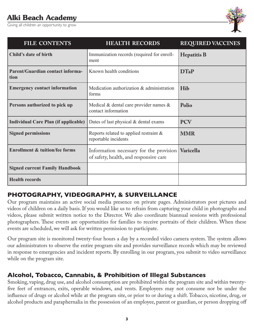Giving all children an opportunity to grow



Giving all children an opportunity to grow

| <b>FILE CONTENTS</b>                            | <b>HEALTH RECORDS</b>                                                             | <b>REQUIRED VACCINES</b> |
|-------------------------------------------------|-----------------------------------------------------------------------------------|--------------------------|
| Child's date of birth                           | Immunization records (required for enroll-<br>ment                                | <b>Hepatitis B</b>       |
| <b>Parent/Guardian contact informa-</b><br>tion | Known health conditions                                                           | <b>DTaP</b>              |
| <b>Emergency contact information</b>            | Medication authorization & administration<br>forms                                | <b>Hib</b>               |
| Persons authorized to pick up                   | Medical $\&$ dental care provider names $\&$<br>contact information               | Polio                    |
| <b>Individual Care Plan (if applicable)</b>     | Dates of last physical & dental exams                                             | <b>PCV</b>               |
| <b>Signed permissions</b>                       | Reports related to applied restraint $\&$<br>reportable incidents                 | <b>MMR</b>               |
| <b>Enrollment &amp; tuition/fee forms</b>       | Information necessary for the provision<br>of safety, health, and responsive care | Varicella                |
| <b>Signed current Family Handbook</b>           |                                                                                   |                          |
| <b>Health records</b>                           |                                                                                   |                          |

#### **PHOTOGRAPHY, VIDEOGRAPHY, & SURVEILLANCE**

Our program maintains an active social media presence on private pages. Administrators post pictures and videos of children on a daily basis. If you would like us to refrain from capturing your child in photographs and videos, please submit written notice to the Director. We also coordinate biannual sessions with professional photographers. These events are opportunities for families to receive portraits of their children. When these events are scheduled, we will ask for written permission to participate.

Our program site is monitored twenty-four hours a day by a recorded video camera system. The system allows our administrators to observe the entire program site and provides surveillance records which may be reviewed in response to emergencies and incident reports. By enrolling in our program, you submit to video surveillance while on the program site.

#### **Alcohol, Tobacco, Cannabis, & Prohibition of Illegal Substances**

Smoking, vaping, drug use, and alcohol consumption are prohibited within the program site and within twentyfive feet of entrances, exits, operable windows, and vents. Employees may not consume nor be under the influence of drugs or alcohol while at the program site, or prior to or during a shift. Tobacco, nicotine, drug, or alcohol products and paraphernalia in the possession of an employee, parent or guardian, or person dropping off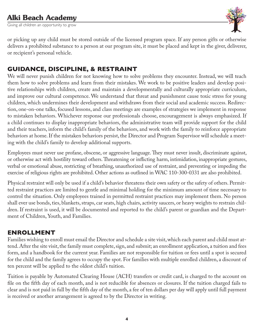Giving all children an opportunity to grow



or picking up any child must be stored outside of the licensed program space. If any person gifts or otherwise delivers a prohibited substance to a person at our program site, it must be placed and kept in the giver, deliverer, or recipient's personal vehicle.

#### **GUIDANCE, DISCIPLINE, & RESTRAINT**

We will never punish children for not knowing how to solve problems they encounter. Instead, we will teach them how to solve problems and learn from their mistakes. We work to be positive leaders and develop positive relationships with children, create and maintain a developmentally and culturally appropriate curriculum, and improve our cultural competence. We understand that threat and punishment cause toxic stress for young children, which undermines their development and withdraws from their social and academic success. Redirection, one-on-one talks, focused lessons, and class meetings are examples of strategies we implement in response to mistaken behaviors. Whichever response our professionals choose, encouragement is always emphasized. If a child continues to display inappropriate behaviors, the administrative team will provide support for the child and their teachers, inform the child's family of the behaviors, and work with the family to reinforce appropriate behaviors at home. If the mistaken behaviors persist, the Director and Program Supervisor will schedule a meeting with the child's family to develop additional supports.

Employees must never use profane, obscene, or aggressive language. They must never insult, discriminate against, or otherwise act with hostility toward others. Threatening or inflicting harm, intimidation, inappropriate gestures, verbal or emotional abuse, restricting of breathing, unauthorized use of restraint, and preventing or impeding the exercise of religious rights are prohibited. Other actions as outlined in WAC 110-300-0331 are also prohibited.

Physical restraint will only be used if a child's behavior threatens their own safety or the safety of others. Permitted restraint practices are limited to gentle and minimal holding for the minimum amount of time necessary to control the situation. Only employees trained in permitted restraint practices may implement them. No person shall ever use bonds, ties, blankets, straps, car seats, high chairs, activity saucers, or heavy weights to restrain children. If restraint is used, it will be documented and reported to the child's parent or guardian and the Department of Children, Youth, and Families.

#### **ENROLLMENT**

Families wishing to enroll must email the Director and schedule a site visit, which each parent and child must attend. After the site visit, the family must complete, sign, and submit; an enrollment application, a tuition and fees form, and a handbook for the current year. Families are not responsible for tuition or fees until a spot is secured for the child and the family agrees to occupy the spot. For families with multiple enrolled children, a discount of ten percent will be applied to the oldest child's tuition.

Tuition is payable by Automated Clearing House (ACH) transfers or credit card, is charged to the account on file on the fifth day of each month, and is not reducible for absences or closures. If the tuition charged fails to clear and is not paid in full by the fifth day of the month, a fee of ten dollars per day will apply until full payment is received or another arrangement is agreed to by the Director in writing.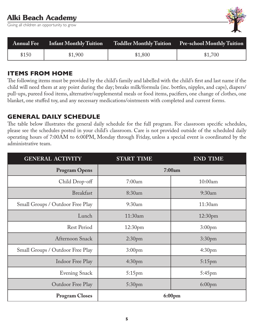Giving all children an opportunity to grow



|       | <b>Annual Fee</b> Infant Monthly Tuition |         | Toddler Monthly Tuition Pre-school Monthly Tuition |
|-------|------------------------------------------|---------|----------------------------------------------------|
| \$150 | \$1,900                                  | \$1,800 | \$1,700                                            |

#### **ITEMS FROM HOME**

The following items must be provided by the child's family and labelled with the child's first and last name if the child will need them at any point during the day; breaks milk/formula (inc. bottles, nipples, and caps), diapers/ pull-ups, pureed food items, alternative/supplemental meals or food items, pacifiers, one change of clothes, one blanket, one stuffed toy, and any necessary medications/ointments with completed and current forms.

#### **GENERAL DAILY SCHEDULE**

The table below illustrates the general daily schedule for the full program. For classroom specific schedules, please see the schedules posted in your child's classroom. Care is not provided outside of the scheduled daily operating hours of 7:00AM to 6:00PM, Monday through Friday, unless a special event is coordinated by the administrative team.

| <b>GENERAL ACTIVITY</b>          | <b>START TIME</b>  | <b>END TIME</b>    |
|----------------------------------|--------------------|--------------------|
| <b>Program Opens</b>             |                    | 7:00am             |
| Child Drop-off                   | 7:00am             | 10:00am            |
| <b>Breakfast</b>                 | 8:30am             | 9:30am             |
| Small Groups / Outdoor Free Play | 9:30am             | 11:30am            |
| Lunch                            | 11:30am            | 12:30pm            |
| <b>Rest Period</b>               | 12:30pm            | 3:00 <sub>pm</sub> |
| Afternoon Snack                  | 2:30 <sub>pm</sub> | 3:30 <sub>pm</sub> |
| Small Groups / Outdoor Free Play | 3:00 <sub>pm</sub> | 4:30 <sub>pm</sub> |
| Indoor Free Play                 | 4:30 <sub>pm</sub> | $5:15$ pm          |
| <b>Evening Snack</b>             | $5:15$ pm          | 5:45pm             |
| Outdoor Free Play                | 5:30pm             | 6:00 <sub>pm</sub> |
| <b>Program Closes</b>            |                    | 6:00pm             |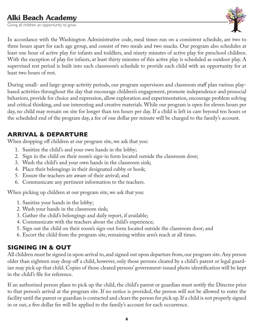Giving all children an opportunity to grow



In accordance with the Washington Administrative code, meal times run on a consistent schedule, are two to three hours apart for each age group, and consist of two meals and two snacks. Our program also schedules at least one hour of active play for infants and toddlers, and ninety minutes of active play for preschool children. With the exception of play for infants, at least thirty minutes of this active play is scheduled as outdoor play. A supervised rest period is built into each classroom's schedule to provide each child with an opportunity for at least two hours of rest.

During small- and large-group activity periods, our program supervisors and classroom staff plan various playbased activities throughout the day that encourage children's engagement, promote independence and prosocial behaviors, provide for choice and expression, allow exploration and experimentation, encourage problem solving and critical thinking, and use interesting and creative materials. While our program is open for eleven hours per day, no child may remain on site for longer than ten hours per day. If a child is left in care beyond ten hours or the scheduled end of the program day, a fee of one dollar per minute will be charged to the family's account.

#### **ARRIVAL & DEPARTURE**

When dropping off children at our program site, we ask that you:

- 1. Sanitize the child's and your own hands in the lobby;
- 2. Sign in the child on their room's sign-in form located outside the classroom door;
- 3. Wash the child's and your own hands in the classroom sink;
- 4. Place their belongings in their designated cubby or hook;
- 5. Ensure the teachers are aware of their arrival; and
- 6. Communicate any pertinent information to the teachers.

When picking up children at our program site, we ask that you:

- 1. Sanitize your hands in the lobby;
- 2. Wash your hands in the classroom sink;
- 3. Gather the child's belongings and daily report, if available;
- 4. Communicate with the teachers about the child's experience;
- 5. Sign out the child on their room's sign-out form located outside the classroom door; and
- 6. Escort the child from the program site, remaining within arm's reach at all times.

#### **SIGNING IN & OUT**

All children must be signed in upon arrival to, and signed out upon departure from, our program site. Any person older than eighteen may drop off a child, however, only those persons cleared by a child's parent or legal guardian may pick up that child. Copies of those cleared persons' government-issued photo identification will be kept in the child's file for reference.

If an authorized person plans to pick up the child, the child's parent or guardian must notify the Director prior to that person's arrival at the program site. If no notice is provided, the person will not be allowed to enter the facility until the parent or guardian is contacted and clears the person for pick up. If a child is not properly signed in or out, a five dollar fee will be applied to the family's account for each occurrence.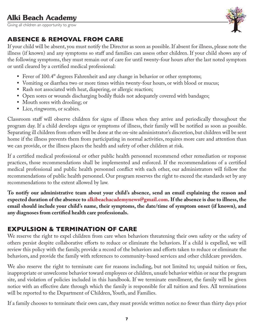Giving all children an opportunity to grow



#### **ABSENCE & REMOVAL FROM CARE**

If your child will be absent, you must notify the Director as soon as possible. If absent for illness, please note the illness (if known) and any symptoms so staff and families can assess other children. If your child shows any of the following symptoms, they must remain out of care for until twenty-four hours after the last noted symptom or until cleared by a certified medical professional:

- Fever of 100.4° degrees Fahrenheit and any change in behavior or other symptoms;
- Vomiting or diarrhea two or more times within twenty-four hours, or with blood or mucus;
- Rash not associated with heat, diapering, or allergic reaction;
- Open sores or wounds discharging bodily fluids not adequately covered with bandages;
- Mouth sores with drooling; or
- Lice, ringworm, or scabies.

Classroom staff will observe children for signs of illness when they arrive and periodically throughout the program day. If a child develops signs or symptoms of illness, their family will be notified as soon as possible. Separating ill children from others will be done at the on-site administrator's discretion, but children will be sent home if the illness prevents them from participating in normal activities, requires more care and attention than we can provide, or the illness places the health and safety of other children at risk.

If a certified medical professional or other public health personnel recommend other remediation or response practices, those recommendations shall be implemented and enforced. If the recommendations of a certified medical professional and public health personnel conflict with each other, our administrators will follow the recommendations of public health personnel. Our program reserves the right to exceed the standards set by any recommendations to the extent allowed by law.

**To notify our administrative team about your child's absence, send an email explaining the reason and expected duration of the absence to alkibeachacademynews@gmail.com. If the absence is due to illness, the email should include your child's name, their symptoms, the date/time of symptom onset (if known), and any diagnoses from certified health care professionals.**

#### **EXPULSION & TERMINATION OF CARE**

We reserve the right to expel children from care when behaviors threatening their own safety or the safety of others persist despite collaborative efforts to reduce or eliminate the behaviors. If a child is expelled, we will review this policy with the family, provide a record of the behaviors and efforts taken to reduce or eliminate the behaviors, and provide the family with references to community-based services and other childcare providers.

We also reserve the right to terminate care for reasons including, but not limited to; unpaid tuition or fees, inappropriate or unwelcome behavior toward employees or children, unsafe behavior within or near the program site, and violation of policies included in this handbook. If we terminate enrollment, the family will be given notice with an effective date through which the family is responsible for all tuition and fees. All terminations will be reported to the Department of Children, Youth, and Families.

If a family chooses to terminate their own care, they must provide written notice no fewer than thirty days prior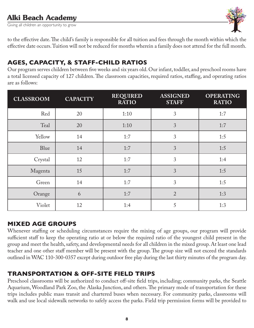Giving all children an opportunity to grow



to the effective date. The child's family is responsible for all tuition and fees through the month within which the effective date occurs. Tuition will not be reduced for months wherein a family does not attend for the full month.

### **AGES, CAPACITY, & STAFF-CHILD RATIOS**

Our program serves children between five weeks and six years old. Our infant, toddler, and preschool rooms have a total licensed capacity of 127 children. The classroom capacities, required ratios, staffing, and operating ratios are as follows:

| <b>CLASSROOM</b> | <b>CAPACITY</b> | <b>REQUIRED</b><br><b>RATIO</b> | <b>ASSIGNED</b><br><b>STAFF</b> | <b>OPERATING</b><br><b>RATIO</b> |
|------------------|-----------------|---------------------------------|---------------------------------|----------------------------------|
| Red              | 20              | 1:10                            | 3                               | 1:7                              |
| Teal             | 20              | 1:10                            | 3                               | 1:7                              |
| Yellow           | 14              | 1:7                             | 3                               | 1:5                              |
| Blue             | 14              | 1:7                             | 3                               | 1:5                              |
| Crystal          | 12              | 1:7                             | 3                               | 1:4                              |
| Magenta          | 15              | 1:7                             | 3                               | 1:5                              |
| Green            | 14              | 1:7                             | 3                               | 1:5                              |
| Orange           | 6               | 1:7                             | $\overline{2}$                  | 1:3                              |
| Violet           | 12              | 1:4                             | 5                               | 1:3                              |

#### **MIXED AGE GROUPS**

Whenever staffing or scheduling circumstances require the mixing of age groups, our program will provide sufficient staff to keep the operating ratio at or below the required ratio of the youngest child present in the group and meet the health, safety, and developmental needs for all children in the mixed group. At least one lead teacher and one other staff member will be present with the group. The group size will not exceed the standards outlined in WAC 110-300-0357 except during outdoor free play during the last thirty minutes of the program day.

### **TRANSPORTATION & OFF-SITE FIELD TRIPS**

Preschool classrooms will be authorized to conduct off-site field trips, including; community parks, the Seattle Aquarium, Woodland Park Zoo, the Alaska Junction, and others. The primary mode of transportation for these trips includes public mass transit and chartered buses when necessary. For community parks, classrooms will walk and use local sidewalk networks to safely access the parks. Field trip permission forms will be provided to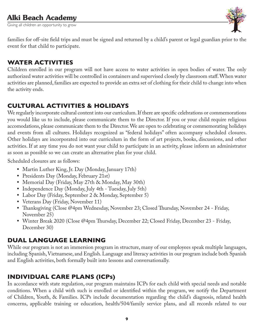Giving all children an opportunity to grow



families for off-site field trips and must be signed and returned by a child's parent or legal guardian prior to the event for that child to participate.

#### **WATER ACTIVITIES**

Children enrolled in our program will not have access to water activities in open bodies of water. The only authorized water activities will be controlled in containers and supervised closely by classroom staff. When water activities are planned, families are expected to provide an extra set of clothing for their child to change into when the activity ends.

#### **CULTURAL ACTIVITIES & HOLIDAYS**

We regularly incorporate cultural content into our curriculum. If there are specific celebrations or commemorations you would like us to include, please communicate them to the Director. If you or your child require religious accomodations, please communicate them to the Director. We are open to celebrating or commemorating holidays and events from all cultures. Holidays recognized as "federal holidays" often accompany scheduled closures. Other holidays are incorporated into our curriculum in the form of art projects, books, discussions, and other activities. If at any time you do not want your child to participate in an activity, please inform an administrator as soon as possible so we can create an alternative plan for your child.

Scheduled closures are as follows:

- Martin Luther King, Jr. Day (Monday, January 17th)
- Presidents Day (Monday, February 21st)
- Memorial Day (Friday, May 27th & Monday, May 30th)
- Independence Day (Monday, July 4th Tuesday, July 5th)
- Labor Day (Friday, September 2 & Monday, September 5)
- Veterans Day (Friday, November 11)
- Thanksgiving (Close @4pm Wednesday, November 23; Closed Thursday, November 24 Friday, November 25)
- Winter Break 2020 (Close @4pm Thursday, December 22; Closed Friday, December 23 Friday, December 30)

#### **DUAL LANGUAGE LEARNING**

While our program is not an immersion program in structure, many of our employees speak multiple languages, including Spanish, Vietnamese, and English. Language and literacy activities in our program include both Spanish and English activities, both formally built into lessons and conversationally.

#### **INDIVIDUAL CARE PLANS (ICPs)**

In accordance with state regulation, our program maintains ICPs for each child with special needs and notable conditions. When a child with such is enrolled or identified within the program, we notify the Department of Children, Youth, & Families. ICPs include documentation regarding the child's diagnosis, related health concerns, applicable training or education, health/504/family service plans, and all records related to our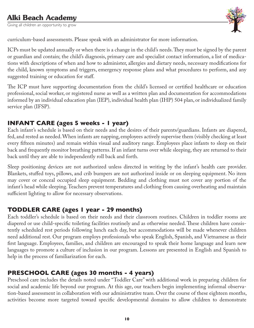Giving all children an opportunity to grow



curriculum-based assessments. Please speak with an administrator for more information.

ICPs must be updated annually or when there is a change in the child's needs. They must be signed by the parent or guardian and contain; the child's diagnosis, primary care and specialist contact information, a list of medications with descriptions of when and how to administer, allergies and dietary needs, necessary modifications for the child, known symptoms and triggers, emergency response plans and what procedures to perform, and any suggested training or education for staff.

The ICP must have supporting documentation from the child's licensed or certified healthcare or education professional, social worker, or registered nurse as well as a written plan and documentation for accommodations informed by an individual education plan (IEP), individual health plan (IHP) 504 plan, or individualized family service plan (IFSP).

#### **INFANT CARE (ages 5 weeks - 1 year)**

Each infant's schedule is based on their needs and the desires of their parents/guardians. Infants are diapered, fed, and rested as needed. When infants are napping, employees actively supervise them (visibly checking at least every fifteen minutes) and remain within visual and auditory range. Employees place infants to sleep on their back and frequently monitor breathing patterns. If an infant turns over while sleeping, they are returned to their back until they are able to independently roll back and forth.

Sleep positioning devices are not authorized unless directed in writing by the infant's health care provider. Blankets, stuffed toys, pillows, and crib bumpers are not authorized inside or on sleeping equipment. No item may cover or conceal occupied sleep equipment. Bedding and clothing must not cover any portion of the infant's head while sleeping. Teachers prevent temperatures and clothing from causing overheating and maintain sufficient lighting to allow for necessary observations.

#### **TODDLER CARE (ages 1 year - 29 months)**

Each toddler's schedule is based on their needs and their classroom routines. Children in toddler rooms are diapered or use child-specific toileting facilities routinely and as otherwise needed. These children have consistently scheduled rest periods following lunch each day, but accommodations will be made whenever children need additional rest. Our program employs professionals who speak English, Spanish, and Vietnamese as their first language. Employees, families, and children are encouraged to speak their home language and learn new languages to promote a culture of inclusion in our program. Lessons are presented in English and Spanish to help in the process of familiarization for each.

#### **PRESCHOOL CARE (ages 30 months - 4 years)**

Preschool care includes the details noted under "Toddler Care" with additional work in preparing children for social and academic life beyond our program. At this age, our teachers begin implementing informal observation-based assessment in collaboration with our administrative team. Over the course of these eighteen months, activities become more targeted toward specific developmental domains to allow children to demonstrate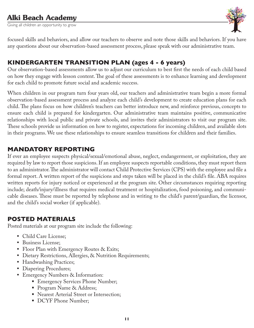Giving all children an opportunity to grow



focused skills and behaviors, and allow our teachers to observe and note those skills and behaviors. If you have any questions about our observation-based assessment process, please speak with our administrative team.

#### **KINDERGARTEN TRANSITION PLAN (ages 4 - 6 years)**

Our observation-based assessments allow us to adjust our curriculum to best first the needs of each child based on how they engage with lesson content. The goal of these assessments is to enhance learning and development for each child to promote future social and academic success.

When children in our program turn four years old, our teachers and administrative team begin a more formal observation-based assessment process and analyze each child's development to create education plans for each child. The plans focus on how children's teachers can better introduce new, and reinforce previous, concepts to ensure each child is prepared for kindergarten. Our administrative team maintains positive, communicative relationships with local public and private schools, and invites their administrators to visit our program site. These schools provide us information on how to register, expectations for incoming children, and available slots in their programs. We use these relationships to ensure seamless transitions for children and their families.

#### **MANDATORY REPORTING**

If ever an employee suspects physical/sexual/emotional abuse, neglect, endangerment, or exploitation, they are required by law to report those suspicions. If an employee suspects reportable conditions, they must report them to an administrator. The administrator will contact Child Protective Services (CPS) with the employee and file a formal report. A written report of the suspicions and steps taken will be placed in the child's file. ABA requires written reports for injury noticed or experienced at the program site. Other circumstances requiring reporting include; death/injury/illness that requires medical treatment or hospitalization, food poisoning, and communicable diseases. These must be reported by telephone and in writing to the child's parent/guardian, the licensor, and the child's social worker (if applicable).

#### **POSTED MATERIALS**

Posted materials at our program site include the following:

- Child Care License;
- Business License;
- Floor Plan with Emergency Routes & Exits;
- Dietary Restrictions, Allergies, & Nutrition Requirements;
- Handwashing Practices;
- Diapering Procedures;
- Emergency Numbers & Information:
	- Emergency Services Phone Number;
	- Program Name & Address;
	- Nearest Arterial Street or Intersection;
	- DCYF Phone Number;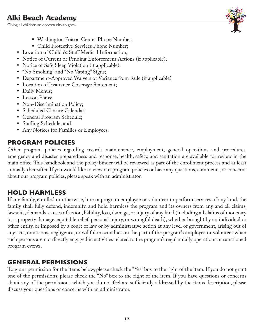Giving all children an opportunity to grow



- Washington Poison Center Phone Number;
- Child Protective Services Phone Number;
- Location of Child & Staff Medical Information;
- Notice of Current or Pending Enforcement Actions (if applicable);
- Notice of Safe Sleep Violation (if applicable);
- "No Smoking" and "No Vaping" Signs;
- Department-Approved Waivers or Variance from Rule (if applicable)
- Location of Insurance Coverage Statement;
- Daily Menus;
- Lesson Plans;
- Non-Discrimination Policy;
- Scheduled Closure Calendar;
- General Program Schedule;
- Staffing Schedule; and
- Any Notices for Families or Employees.

## **PROGRAM POLICIES**

Other program policies regarding records maintenance, employment, general operations and procedures, emergency and disaster preparedness and response, health, safety, and sanitation are available for review in the main office. This handbook and the policy binder will be reviewed as part of the enrollment process and at least annually thereafter. If you would like to view our program policies or have any questions, comments, or concerns about our program policies, please speak with an administrator.

## **HOLD HARMLESS**

If any family, enrolled or otherwise, hires a program employee or volunteer to perform services of any kind, the family shall fully defend, indemnify, and hold harmless the program and its owners from any and all claims, lawsuits, demands, causes of action, liability, loss, damage, or injury of any kind (including all claims of monetary loss, property damage, equitable relief, personal injury, or wrongful death), whether brought by an individual or other entity, or imposed by a court of law or by administrative action at any level of government, arising out of any acts, omissions, negligence, or willful misconduct on the part of the program's employee or volunteer when such persons are not directly engaged in activities related to the program's regular daily operations or sanctioned program events.

## **GENERAL PERMISSIONS**

To grant permission for the items below, please check the "Yes" box to the right of the item. If you do not grant one of the permissions, please check the "No" box to the right of the item. If you have questions or concerns about any of the permissions which you do not feel are sufficiently addressed by the items description, please discuss your questions or concerns with an administrator.